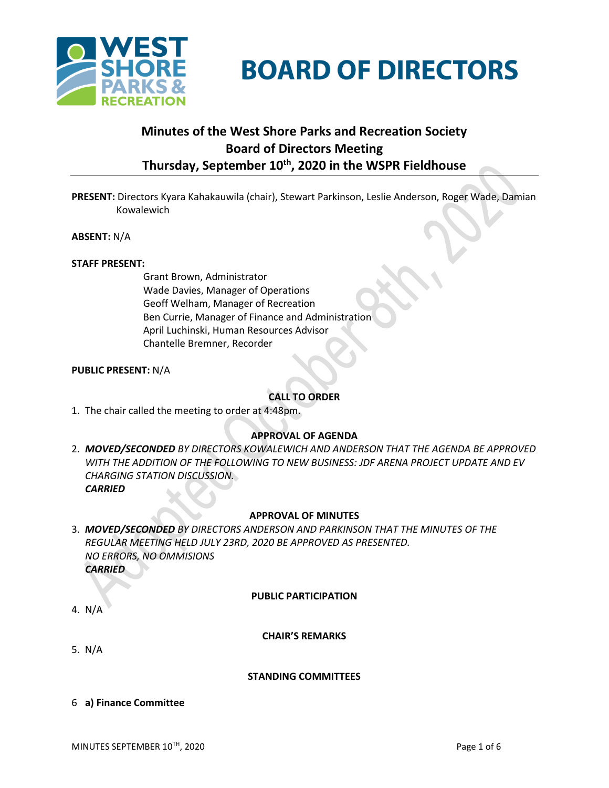



# **Minutes of the West Shore Parks and Recreation Society Board of Directors Meeting Thursday, September 10th , 2020 in the WSPR Fieldhouse**

**PRESENT:** Directors Kyara Kahakauwila (chair), Stewart Parkinson, Leslie Anderson, Roger Wade, Damian Kowalewich

**ABSENT:** N/A

### **STAFF PRESENT:**

Grant Brown, Administrator Wade Davies, Manager of Operations Geoff Welham, Manager of Recreation Ben Currie, Manager of Finance and Administration April Luchinski, Human Resources Advisor Chantelle Bremner, Recorder

# **PUBLIC PRESENT:** N/A

# **CALL TO ORDER**

1. The chair called the meeting to order at 4:48pm.

# **APPROVAL OF AGENDA**

2. *MOVED/SECONDED BY DIRECTORS KOWALEWICH AND ANDERSON THAT THE AGENDA BE APPROVED WITH THE ADDITION OF THE FOLLOWING TO NEW BUSINESS: JDF ARENA PROJECT UPDATE AND EV CHARGING STATION DISCUSSION. CARRIED*

### **APPROVAL OF MINUTES**

3. *MOVED/SECONDED BY DIRECTORS ANDERSON AND PARKINSON THAT THE MINUTES OF THE REGULAR MEETING HELD JULY 23RD, 2020 BE APPROVED AS PRESENTED. NO ERRORS, NO OMMISIONS CARRIED*

### **PUBLIC PARTICIPATION**

4. N/A

# **CHAIR'S REMARKS**

5. N/A

### **STANDING COMMITTEES**

6 **a) Finance Committee**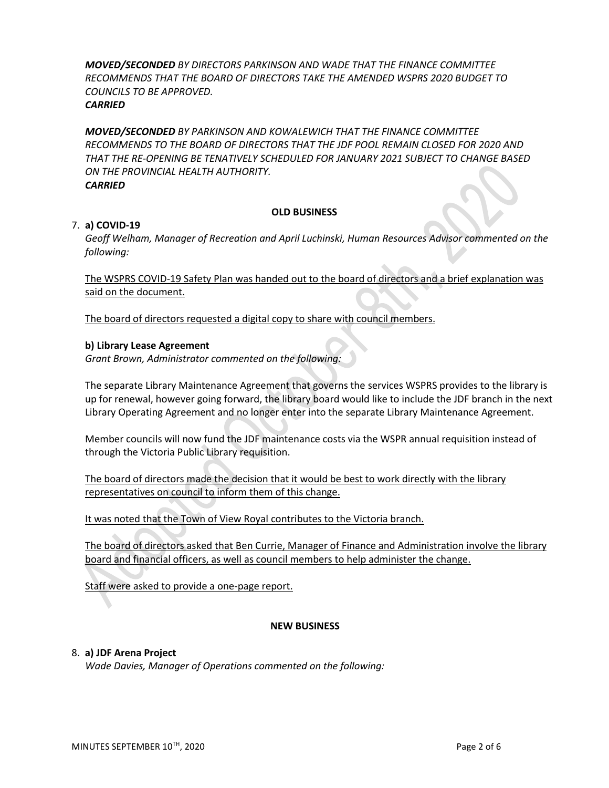*MOVED/SECONDED BY DIRECTORS PARKINSON AND WADE THAT THE FINANCE COMMITTEE RECOMMENDS THAT THE BOARD OF DIRECTORS TAKE THE AMENDED WSPRS 2020 BUDGET TO COUNCILS TO BE APPROVED. CARRIED*

*MOVED/SECONDED BY PARKINSON AND KOWALEWICH THAT THE FINANCE COMMITTEE RECOMMENDS TO THE BOARD OF DIRECTORS THAT THE JDF POOL REMAIN CLOSED FOR 2020 AND THAT THE RE-OPENING BE TENATIVELY SCHEDULED FOR JANUARY 2021 SUBJECT TO CHANGE BASED ON THE PROVINCIAL HEALTH AUTHORITY. CARRIED*

### **OLD BUSINESS**

# 7. **a) COVID-19**

*Geoff Welham, Manager of Recreation and April Luchinski, Human Resources Advisor commented on the following:*

The WSPRS COVID-19 Safety Plan was handed out to the board of directors and a brief explanation was said on the document.

The board of directors requested a digital copy to share with council members.

# **b) Library Lease Agreement**

*Grant Brown, Administrator commented on the following:*

The separate Library Maintenance Agreement that governs the services WSPRS provides to the library is up for renewal, however going forward, the library board would like to include the JDF branch in the next Library Operating Agreement and no longer enter into the separate Library Maintenance Agreement.

Member councils will now fund the JDF maintenance costs via the WSPR annual requisition instead of through the Victoria Public Library requisition.

The board of directors made the decision that it would be best to work directly with the library representatives on council to inform them of this change.

It was noted that the Town of View Royal contributes to the Victoria branch.

The board of directors asked that Ben Currie, Manager of Finance and Administration involve the library board and financial officers, as well as council members to help administer the change.

Staff were asked to provide a one-page report.

# **NEW BUSINESS**

# 8. **a) JDF Arena Project**

*Wade Davies, Manager of Operations commented on the following:*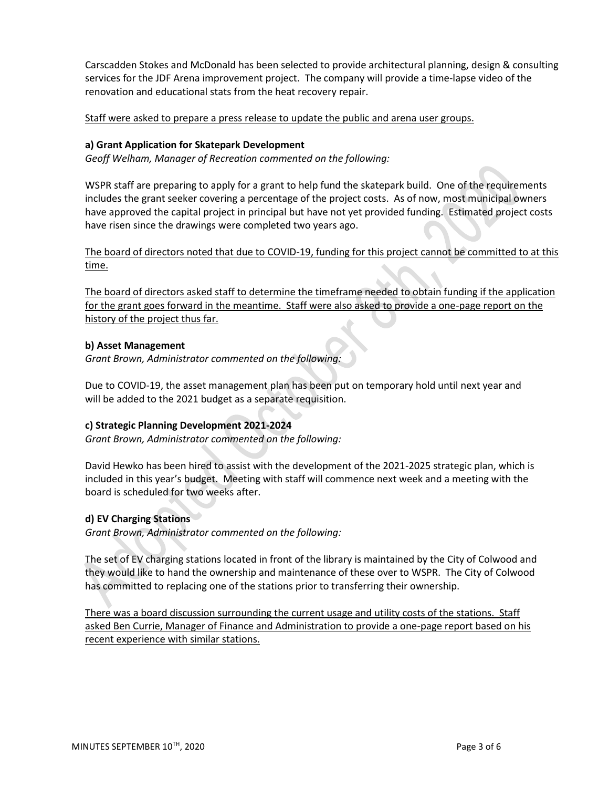Carscadden Stokes and McDonald has been selected to provide architectural planning, design & consulting services for the JDF Arena improvement project. The company will provide a time-lapse video of the renovation and educational stats from the heat recovery repair.

Staff were asked to prepare a press release to update the public and arena user groups.

# **a) Grant Application for Skatepark Development**

*Geoff Welham, Manager of Recreation commented on the following:*

WSPR staff are preparing to apply for a grant to help fund the skatepark build. One of the requirements includes the grant seeker covering a percentage of the project costs. As of now, most municipal owners have approved the capital project in principal but have not yet provided funding. Estimated project costs have risen since the drawings were completed two years ago.

The board of directors noted that due to COVID-19, funding for this project cannot be committed to at this time.

The board of directors asked staff to determine the timeframe needed to obtain funding if the application for the grant goes forward in the meantime. Staff were also asked to provide a one-page report on the history of the project thus far.

# **b) Asset Management**

*Grant Brown, Administrator commented on the following:*

Due to COVID-19, the asset management plan has been put on temporary hold until next year and will be added to the 2021 budget as a separate requisition.

# **c) Strategic Planning Development 2021-2024**

*Grant Brown, Administrator commented on the following:*

David Hewko has been hired to assist with the development of the 2021-2025 strategic plan, which is included in this year's budget. Meeting with staff will commence next week and a meeting with the board is scheduled for two weeks after.

# **d) EV Charging Stations**

*Grant Brown, Administrator commented on the following:*

The set of EV charging stations located in front of the library is maintained by the City of Colwood and they would like to hand the ownership and maintenance of these over to WSPR. The City of Colwood has committed to replacing one of the stations prior to transferring their ownership.

There was a board discussion surrounding the current usage and utility costs of the stations. Staff asked Ben Currie, Manager of Finance and Administration to provide a one-page report based on his recent experience with similar stations.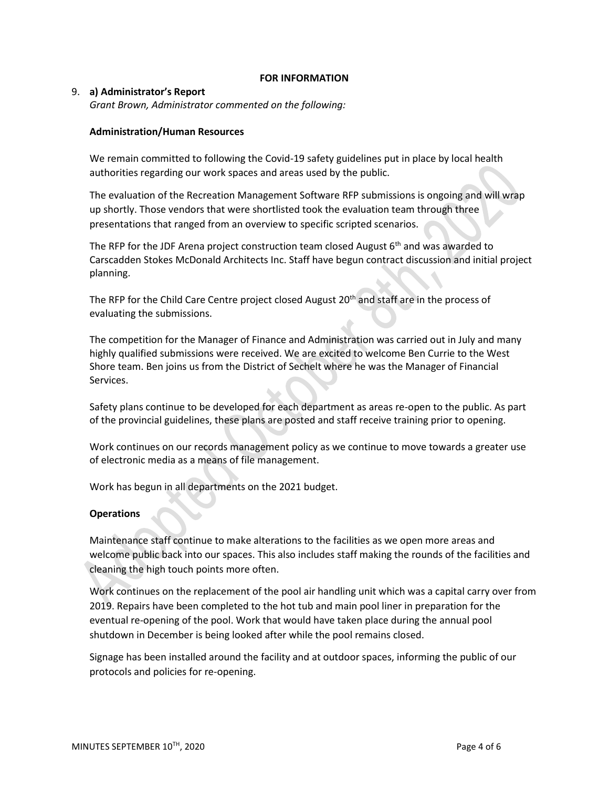### **FOR INFORMATION**

### 9. **a) Administrator's Report**

*Grant Brown, Administrator commented on the following:*

### **Administration/Human Resources**

We remain committed to following the Covid-19 safety guidelines put in place by local health authorities regarding our work spaces and areas used by the public.

The evaluation of the Recreation Management Software RFP submissions is ongoing and will wrap up shortly. Those vendors that were shortlisted took the evaluation team through three presentations that ranged from an overview to specific scripted scenarios.

The RFP for the JDF Arena project construction team closed August  $6<sup>th</sup>$  and was awarded to Carscadden Stokes McDonald Architects Inc. Staff have begun contract discussion and initial project planning.

The RFP for the Child Care Centre project closed August 20<sup>th</sup> and staff are in the process of evaluating the submissions.

The competition for the Manager of Finance and Administration was carried out in July and many highly qualified submissions were received. We are excited to welcome Ben Currie to the West Shore team. Ben joins us from the District of Sechelt where he was the Manager of Financial Services.

Safety plans continue to be developed for each department as areas re-open to the public. As part of the provincial guidelines, these plans are posted and staff receive training prior to opening.

Work continues on our records management policy as we continue to move towards a greater use of electronic media as a means of file management.

Work has begun in all departments on the 2021 budget.

### **Operations**

Maintenance staff continue to make alterations to the facilities as we open more areas and welcome public back into our spaces. This also includes staff making the rounds of the facilities and cleaning the high touch points more often.

Work continues on the replacement of the pool air handling unit which was a capital carry over from 2019. Repairs have been completed to the hot tub and main pool liner in preparation for the eventual re-opening of the pool. Work that would have taken place during the annual pool shutdown in December is being looked after while the pool remains closed.

Signage has been installed around the facility and at outdoor spaces, informing the public of our protocols and policies for re-opening.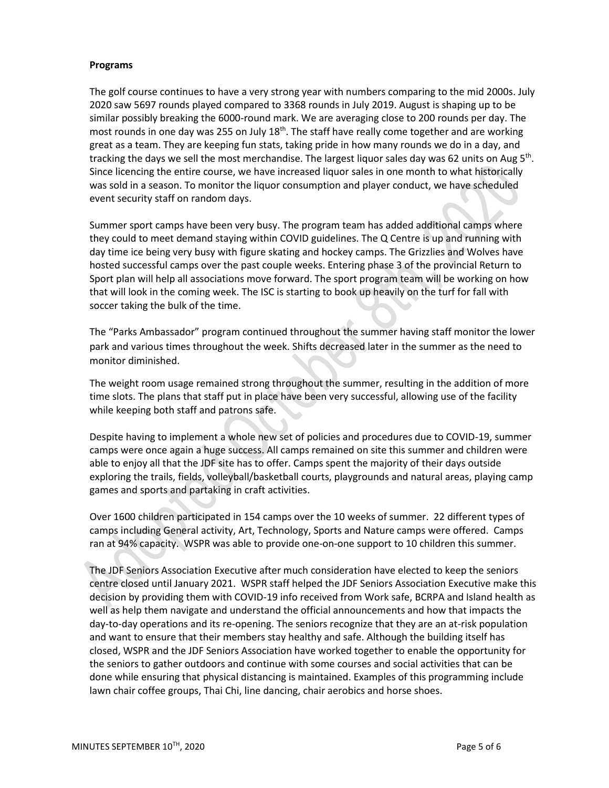### **Programs**

The golf course continues to have a very strong year with numbers comparing to the mid 2000s. July 2020 saw 5697 rounds played compared to 3368 rounds in July 2019. August is shaping up to be similar possibly breaking the 6000-round mark. We are averaging close to 200 rounds per day. The most rounds in one day was 255 on July  $18<sup>th</sup>$ . The staff have really come together and are working great as a team. They are keeping fun stats, taking pride in how many rounds we do in a day, and tracking the days we sell the most merchandise. The largest liquor sales day was 62 units on Aug 5<sup>th</sup>. Since licencing the entire course, we have increased liquor sales in one month to what historically was sold in a season. To monitor the liquor consumption and player conduct, we have scheduled event security staff on random days.

Summer sport camps have been very busy. The program team has added additional camps where they could to meet demand staying within COVID guidelines. The Q Centre is up and running with day time ice being very busy with figure skating and hockey camps. The Grizzlies and Wolves have hosted successful camps over the past couple weeks. Entering phase 3 of the provincial Return to Sport plan will help all associations move forward. The sport program team will be working on how that will look in the coming week. The ISC is starting to book up heavily on the turf for fall with soccer taking the bulk of the time.

The "Parks Ambassador" program continued throughout the summer having staff monitor the lower park and various times throughout the week. Shifts decreased later in the summer as the need to monitor diminished.

The weight room usage remained strong throughout the summer, resulting in the addition of more time slots. The plans that staff put in place have been very successful, allowing use of the facility while keeping both staff and patrons safe.

Despite having to implement a whole new set of policies and procedures due to COVID-19, summer camps were once again a huge success. All camps remained on site this summer and children were able to enjoy all that the JDF site has to offer. Camps spent the majority of their days outside exploring the trails, fields, volleyball/basketball courts, playgrounds and natural areas, playing camp games and sports and partaking in craft activities.

Over 1600 children participated in 154 camps over the 10 weeks of summer. 22 different types of camps including General activity, Art, Technology, Sports and Nature camps were offered. Camps ran at 94% capacity. WSPR was able to provide one-on-one support to 10 children this summer.

The JDF Seniors Association Executive after much consideration have elected to keep the seniors centre closed until January 2021. WSPR staff helped the JDF Seniors Association Executive make this decision by providing them with COVID-19 info received from Work safe, BCRPA and Island health as well as help them navigate and understand the official announcements and how that impacts the day-to-day operations and its re-opening. The seniors recognize that they are an at-risk population and want to ensure that their members stay healthy and safe. Although the building itself has closed, WSPR and the JDF Seniors Association have worked together to enable the opportunity for the seniors to gather outdoors and continue with some courses and social activities that can be done while ensuring that physical distancing is maintained. Examples of this programming include lawn chair coffee groups, Thai Chi, line dancing, chair aerobics and horse shoes.